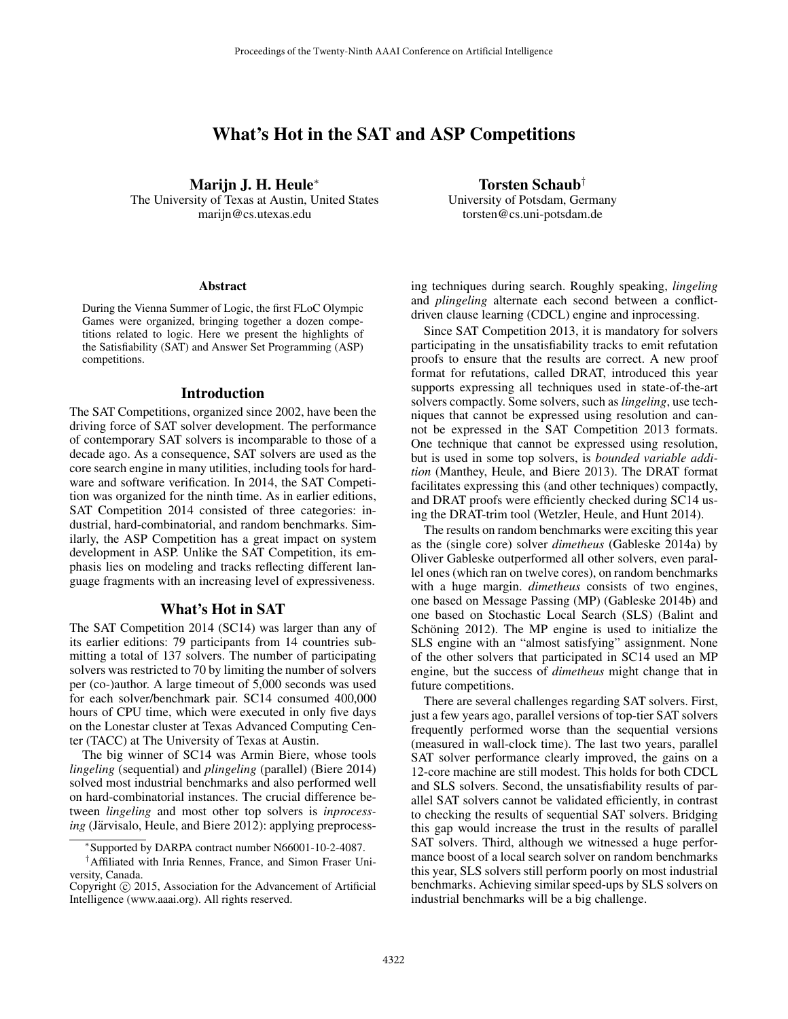# What's Hot in the SAT and ASP Competitions

Marijn J. H. Heule<sup>∗</sup>

The University of Texas at Austin, United States marijn@cs.utexas.edu

#### **Abstract**

During the Vienna Summer of Logic, the first FLoC Olympic Games were organized, bringing together a dozen competitions related to logic. Here we present the highlights of the Satisfiability (SAT) and Answer Set Programming (ASP) competitions.

## Introduction

The SAT Competitions, organized since 2002, have been the driving force of SAT solver development. The performance of contemporary SAT solvers is incomparable to those of a decade ago. As a consequence, SAT solvers are used as the core search engine in many utilities, including tools for hardware and software verification. In 2014, the SAT Competition was organized for the ninth time. As in earlier editions, SAT Competition 2014 consisted of three categories: industrial, hard-combinatorial, and random benchmarks. Similarly, the ASP Competition has a great impact on system development in ASP. Unlike the SAT Competition, its emphasis lies on modeling and tracks reflecting different language fragments with an increasing level of expressiveness.

## What's Hot in SAT

The SAT Competition 2014 (SC14) was larger than any of its earlier editions: 79 participants from 14 countries submitting a total of 137 solvers. The number of participating solvers was restricted to 70 by limiting the number of solvers per (co-)author. A large timeout of 5,000 seconds was used for each solver/benchmark pair. SC14 consumed 400,000 hours of CPU time, which were executed in only five days on the Lonestar cluster at Texas Advanced Computing Center (TACC) at The University of Texas at Austin.

The big winner of SC14 was Armin Biere, whose tools *lingeling* (sequential) and *plingeling* (parallel) (Biere 2014) solved most industrial benchmarks and also performed well on hard-combinatorial instances. The crucial difference between *lingeling* and most other top solvers is *inprocessing* (Järvisalo, Heule, and Biere 2012): applying preprocessTorsten Schaub†

University of Potsdam, Germany torsten@cs.uni-potsdam.de

ing techniques during search. Roughly speaking, *lingeling* and *plingeling* alternate each second between a conflictdriven clause learning (CDCL) engine and inprocessing.

Since SAT Competition 2013, it is mandatory for solvers participating in the unsatisfiability tracks to emit refutation proofs to ensure that the results are correct. A new proof format for refutations, called DRAT, introduced this year supports expressing all techniques used in state-of-the-art solvers compactly. Some solvers, such as *lingeling*, use techniques that cannot be expressed using resolution and cannot be expressed in the SAT Competition 2013 formats. One technique that cannot be expressed using resolution, but is used in some top solvers, is *bounded variable addition* (Manthey, Heule, and Biere 2013). The DRAT format facilitates expressing this (and other techniques) compactly, and DRAT proofs were efficiently checked during SC14 using the DRAT-trim tool (Wetzler, Heule, and Hunt 2014).

The results on random benchmarks were exciting this year as the (single core) solver *dimetheus* (Gableske 2014a) by Oliver Gableske outperformed all other solvers, even parallel ones (which ran on twelve cores), on random benchmarks with a huge margin. *dimetheus* consists of two engines, one based on Message Passing (MP) (Gableske 2014b) and one based on Stochastic Local Search (SLS) (Balint and Schöning 2012). The MP engine is used to initialize the SLS engine with an "almost satisfying" assignment. None of the other solvers that participated in SC14 used an MP engine, but the success of *dimetheus* might change that in future competitions.

There are several challenges regarding SAT solvers. First, just a few years ago, parallel versions of top-tier SAT solvers frequently performed worse than the sequential versions (measured in wall-clock time). The last two years, parallel SAT solver performance clearly improved, the gains on a 12-core machine are still modest. This holds for both CDCL and SLS solvers. Second, the unsatisfiability results of parallel SAT solvers cannot be validated efficiently, in contrast to checking the results of sequential SAT solvers. Bridging this gap would increase the trust in the results of parallel SAT solvers. Third, although we witnessed a huge performance boost of a local search solver on random benchmarks this year, SLS solvers still perform poorly on most industrial benchmarks. Achieving similar speed-ups by SLS solvers on industrial benchmarks will be a big challenge.

<sup>∗</sup> Supported by DARPA contract number N66001-10-2-4087.

<sup>†</sup>Affiliated with Inria Rennes, France, and Simon Fraser University, Canada.

Copyright © 2015, Association for the Advancement of Artificial Intelligence (www.aaai.org). All rights reserved.